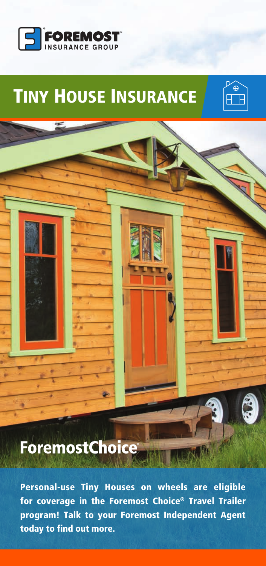

# TINY HOUSE INSURANCE



## **ForemostChoice**

Personal-use Tiny Houses on wheels are eligible for coverage in the Foremost Choice® Travel Trailer program! Talk to your Foremost Independent Agent today to find out more.